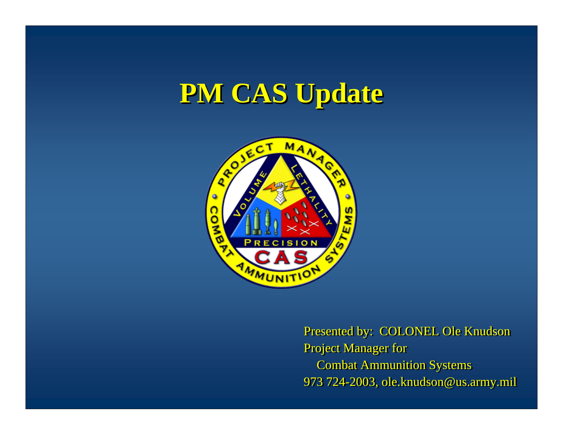# **PM CAS Update PM CAS Update**



Presented by: COLONEL Ole Knudson Presented by: COLONEL Ole Knudson Project Manager for Project Manager for Combat Ammunition Systems Combat Ammunition Systems 973 724-2003, ole.knudson@us.army.mil 973 724-2003, ole.knudson@us.army.mil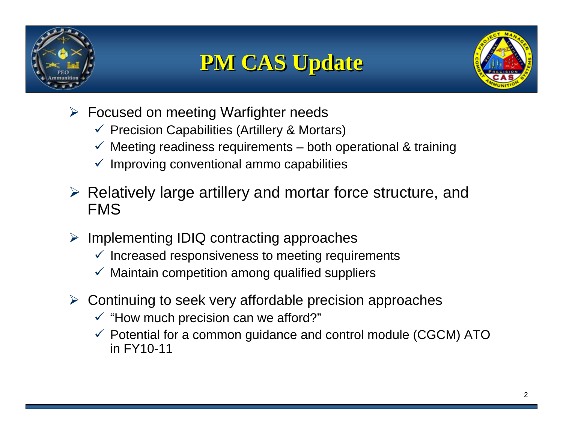

# **PM CAS Update PM CAS Update**



- Focused on meeting Warfighter needs
	- $\checkmark$  Precision Capabilities (Artillery & Mortars)
	- $\checkmark$  Meeting readiness requirements both operational & training
	- $\checkmark$  Improving conventional ammo capabilities
- $\triangleright$  Relatively large artillery and mortar force structure, and FMS
- $\triangleright$  Implementing IDIQ contracting approaches
	- $\checkmark$  Increased responsiveness to meeting requirements
	- $\checkmark$  Maintain competition among qualified suppliers
- Continuing to seek very affordable precision approaches
	- $\checkmark$  "How much precision can we afford?"
	- $\checkmark$  Potential for a common guidance and control module (CGCM) ATO in FY10-11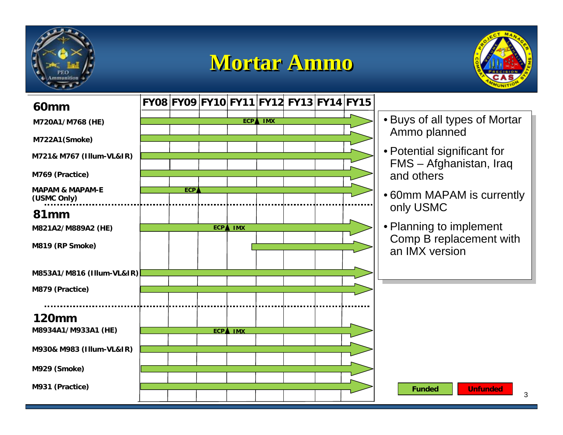

### **Mortar Ammo Mortar Ammo**



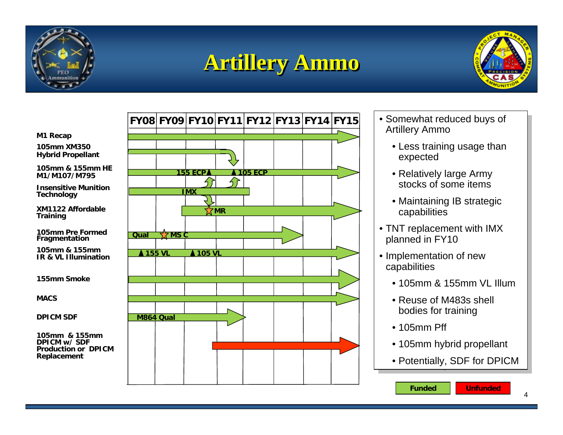

## **Artillery Ammo Artillery Ammo**



**M1 Recap**

**105mm XM350 Hybrid Propellant**

**105mm & 155mm HE M1/M107/M795**

**Insensitive Munition Technology**

**XM1122 Affordable Training**

**105mm Pre Formed** 

**105mm & 155mm IR & VL Illumination**

**155mm Smoke**

**MACS**

**DPICM SDF**

**105mm & 155mm DPICM w/ SDF Production or DPICM Replacement**



- Somewhat reduced buys of Somewhat reduced buys of Artillery Ammo Artillery Ammo
	- Less training usage than Less training usage than expected expected
	- relatively large Army stocks of some items • Relatively large Army
	- Maintaining IB strategic Maintaining IB strategic capabilities capabilities
- TNT replacement with IMX  $\overline{\phantom{a}}$ planned in FY10 planned in FY10
- Implementation of new Implementation of new capabilities capabilities
	- $\bullet$  105mm & 155mm VL Illum
	- $\bullet$  Reuse of M483s shell  $\hspace{0.1mm}$ bodies for training bodies for training
	- 105mm  $Pff$
	- 105mm hybrid propellant 105mm hybrid propellant
	- Potentially, SDF for DPICM Potentially, SDF for DPICM

**Funded**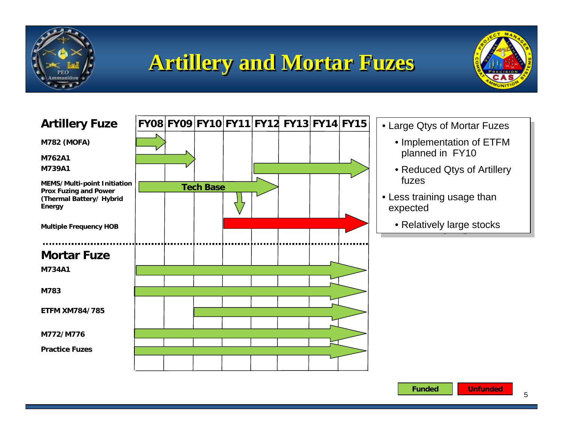

# **Artillery and Mortar Fuzes Artillery and Mortar Fuzes**





- Large Qtys of Mortar Fuzes Large Qtys of Mortar Fuzes
	- Implementation of ETFM Implementation of ETFM planned in FY10 planned in FY10
	- Reduced Qtys of Artillery Reduced Qtys of Artillery fuzes
- Less training usage than Less training usage than expected expected
	- Relatively large stocks Relatively large stocks